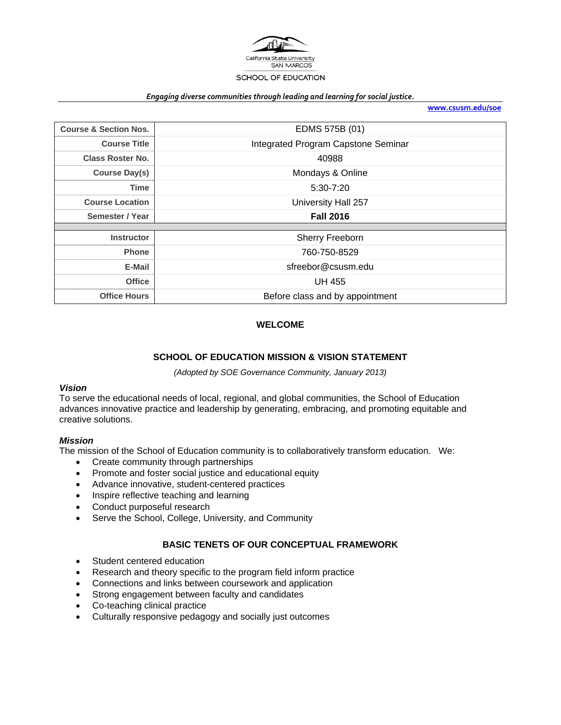

#### *Engaging diverse communities through leading and learning for social justice.*

**www.csusm.edu/soe**

| <b>Course &amp; Section Nos.</b> | EDMS 575B (01)                      |
|----------------------------------|-------------------------------------|
| <b>Course Title</b>              | Integrated Program Capstone Seminar |
| <b>Class Roster No.</b>          | 40988                               |
| <b>Course Day(s)</b>             | Mondays & Online                    |
| Time                             | $5:30 - 7:20$                       |
| <b>Course Location</b>           | University Hall 257                 |
|                                  |                                     |
| Semester / Year                  | <b>Fall 2016</b>                    |
|                                  |                                     |
| <b>Instructor</b>                | Sherry Freeborn                     |
| <b>Phone</b>                     | 760-750-8529                        |
| E-Mail                           | sfreebor@csusm.edu                  |
| <b>Office</b>                    | <b>UH 455</b>                       |

### **WELCOME**

# **SCHOOL OF EDUCATION MISSION & VISION STATEMENT**

*(Adopted by SOE Governance Community, January 2013)* 

### *Vision*

To serve the educational needs of local, regional, and global communities, the School of Education advances innovative practice and leadership by generating, embracing, and promoting equitable and creative solutions.

#### *Mission*

The mission of the School of Education community is to collaboratively transform education. We:

- Create community through partnerships
- Promote and foster social justice and educational equity
- Advance innovative, student-centered practices
- Inspire reflective teaching and learning
- Conduct purposeful research
- Serve the School, College, University, and Community

#### **BASIC TENETS OF OUR CONCEPTUAL FRAMEWORK**

- Student centered education
- Research and theory specific to the program field inform practice
- Connections and links between coursework and application
- Strong engagement between faculty and candidates
- Co-teaching clinical practice
- Culturally responsive pedagogy and socially just outcomes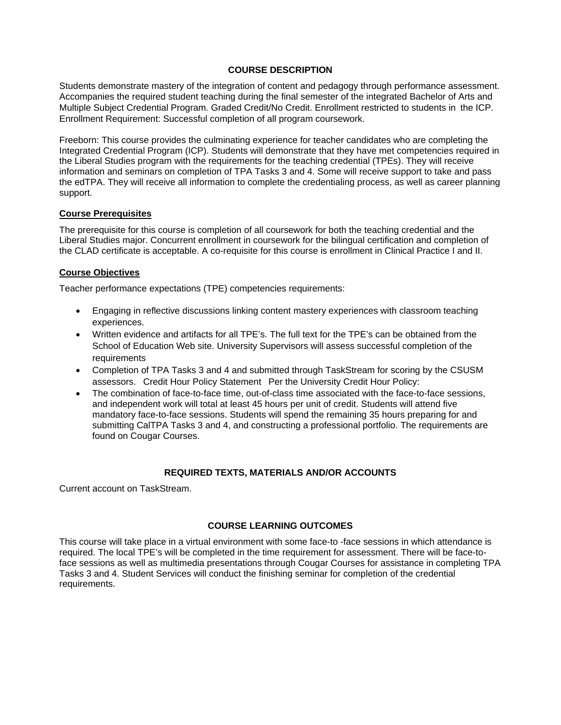### **COURSE DESCRIPTION**

Students demonstrate mastery of the integration of content and pedagogy through performance assessment. Accompanies the required student teaching during the final semester of the integrated Bachelor of Arts and Multiple Subject Credential Program. Graded Credit/No Credit. Enrollment restricted to students in the ICP. Enrollment Requirement: Successful completion of all program coursework.

Freeborn: This course provides the culminating experience for teacher candidates who are completing the Integrated Credential Program (ICP). Students will demonstrate that they have met competencies required in the Liberal Studies program with the requirements for the teaching credential (TPEs). They will receive information and seminars on completion of TPA Tasks 3 and 4. Some will receive support to take and pass the edTPA. They will receive all information to complete the credentialing process, as well as career planning support.

### **Course Prerequisites**

The prerequisite for this course is completion of all coursework for both the teaching credential and the Liberal Studies major. Concurrent enrollment in coursework for the bilingual certification and completion of the CLAD certificate is acceptable. A co-requisite for this course is enrollment in Clinical Practice I and II.

### **Course Objectives**

Teacher performance expectations (TPE) competencies requirements:

- Engaging in reflective discussions linking content mastery experiences with classroom teaching experiences.
- Written evidence and artifacts for all TPE's. The full text for the TPE's can be obtained from the School of Education Web site. University Supervisors will assess successful completion of the requirements
- Completion of TPA Tasks 3 and 4 and submitted through TaskStream for scoring by the CSUSM assessors. Credit Hour Policy Statement Per the University Credit Hour Policy:
- The combination of face-to-face time, out-of-class time associated with the face-to-face sessions, and independent work will total at least 45 hours per unit of credit. Students will attend five mandatory face-to-face sessions. Students will spend the remaining 35 hours preparing for and submitting CalTPA Tasks 3 and 4, and constructing a professional portfolio. The requirements are found on Cougar Courses.

#### **REQUIRED TEXTS, MATERIALS AND/OR ACCOUNTS**

Current account on TaskStream.

# **COURSE LEARNING OUTCOMES**

This course will take place in a virtual environment with some face-to -face sessions in which attendance is required. The local TPE's will be completed in the time requirement for assessment. There will be face-toface sessions as well as multimedia presentations through Cougar Courses for assistance in completing TPA Tasks 3 and 4. Student Services will conduct the finishing seminar for completion of the credential requirements.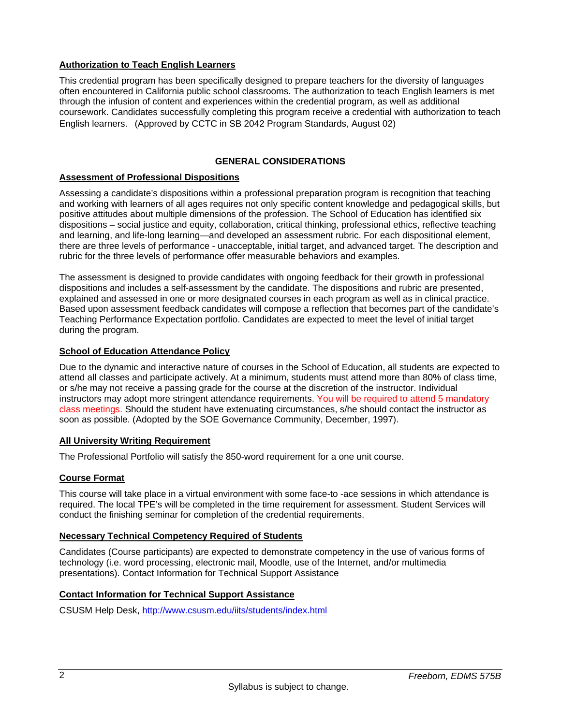# **Authorization to Teach English Learners**

This credential program has been specifically designed to prepare teachers for the diversity of languages often encountered in California public school classrooms. The authorization to teach English learners is met through the infusion of content and experiences within the credential program, as well as additional coursework. Candidates successfully completing this program receive a credential with authorization to teach English learners. (Approved by CCTC in SB 2042 Program Standards, August 02)

# **GENERAL CONSIDERATIONS**

# **Assessment of Professional Dispositions**

Assessing a candidate's dispositions within a professional preparation program is recognition that teaching and working with learners of all ages requires not only specific content knowledge and pedagogical skills, but positive attitudes about multiple dimensions of the profession. The School of Education has identified six dispositions – social justice and equity, collaboration, critical thinking, professional ethics, reflective teaching and learning, and life-long learning—and developed an assessment rubric. For each dispositional element, there are three levels of performance - unacceptable, initial target, and advanced target. The description and rubric for the three levels of performance offer measurable behaviors and examples.

The assessment is designed to provide candidates with ongoing feedback for their growth in professional dispositions and includes a self-assessment by the candidate. The dispositions and rubric are presented, explained and assessed in one or more designated courses in each program as well as in clinical practice. Based upon assessment feedback candidates will compose a reflection that becomes part of the candidate's Teaching Performance Expectation portfolio. Candidates are expected to meet the level of initial target during the program.

### **School of Education Attendance Policy**

Due to the dynamic and interactive nature of courses in the School of Education, all students are expected to attend all classes and participate actively. At a minimum, students must attend more than 80% of class time, or s/he may not receive a passing grade for the course at the discretion of the instructor. Individual instructors may adopt more stringent attendance requirements. You will be required to attend 5 mandatory class meetings. Should the student have extenuating circumstances, s/he should contact the instructor as soon as possible. (Adopted by the SOE Governance Community, December, 1997).

# **All University Writing Requirement**

The Professional Portfolio will satisfy the 850-word requirement for a one unit course.

# **Course Format**

This course will take place in a virtual environment with some face-to -ace sessions in which attendance is required. The local TPE's will be completed in the time requirement for assessment. Student Services will conduct the finishing seminar for completion of the credential requirements.

#### **Necessary Technical Competency Required of Students**

Candidates (Course participants) are expected to demonstrate competency in the use of various forms of technology (i.e. word processing, electronic mail, Moodle, use of the Internet, and/or multimedia presentations). Contact Information for Technical Support Assistance

# **Contact Information for Technical Support Assistance**

CSUSM Help Desk, http://www.csusm.edu/iits/students/index.html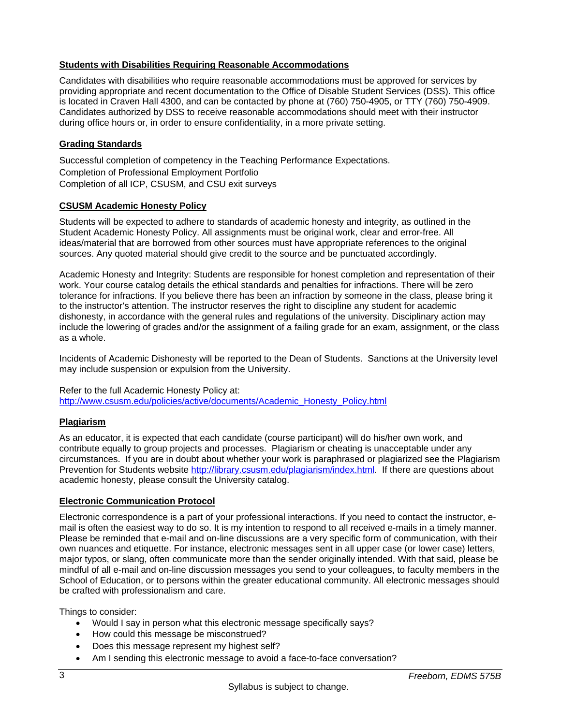# **Students with Disabilities Requiring Reasonable Accommodations**

Candidates with disabilities who require reasonable accommodations must be approved for services by providing appropriate and recent documentation to the Office of Disable Student Services (DSS). This office is located in Craven Hall 4300, and can be contacted by phone at (760) 750-4905, or TTY (760) 750-4909. Candidates authorized by DSS to receive reasonable accommodations should meet with their instructor during office hours or, in order to ensure confidentiality, in a more private setting.

# **Grading Standards**

Successful completion of competency in the Teaching Performance Expectations. Completion of Professional Employment Portfolio Completion of all ICP, CSUSM, and CSU exit surveys

# **CSUSM Academic Honesty Policy**

Students will be expected to adhere to standards of academic honesty and integrity, as outlined in the Student Academic Honesty Policy. All assignments must be original work, clear and error-free. All ideas/material that are borrowed from other sources must have appropriate references to the original sources. Any quoted material should give credit to the source and be punctuated accordingly.

Academic Honesty and Integrity: Students are responsible for honest completion and representation of their work. Your course catalog details the ethical standards and penalties for infractions. There will be zero tolerance for infractions. If you believe there has been an infraction by someone in the class, please bring it to the instructor's attention. The instructor reserves the right to discipline any student for academic dishonesty, in accordance with the general rules and regulations of the university. Disciplinary action may include the lowering of grades and/or the assignment of a failing grade for an exam, assignment, or the class as a whole.

Incidents of Academic Dishonesty will be reported to the Dean of Students. Sanctions at the University level may include suspension or expulsion from the University.

Refer to the full Academic Honesty Policy at: http://www.csusm.edu/policies/active/documents/Academic\_Honesty\_Policy.html

# **Plagiarism**

As an educator, it is expected that each candidate (course participant) will do his/her own work, and contribute equally to group projects and processes. Plagiarism or cheating is unacceptable under any circumstances. If you are in doubt about whether your work is paraphrased or plagiarized see the Plagiarism Prevention for Students website http://library.csusm.edu/plagiarism/index.html. If there are questions about academic honesty, please consult the University catalog.

# **Electronic Communication Protocol**

Electronic correspondence is a part of your professional interactions. If you need to contact the instructor, email is often the easiest way to do so. It is my intention to respond to all received e-mails in a timely manner. Please be reminded that e-mail and on-line discussions are a very specific form of communication, with their own nuances and etiquette. For instance, electronic messages sent in all upper case (or lower case) letters, major typos, or slang, often communicate more than the sender originally intended. With that said, please be mindful of all e-mail and on-line discussion messages you send to your colleagues, to faculty members in the School of Education, or to persons within the greater educational community. All electronic messages should be crafted with professionalism and care.

Things to consider:

- Would I say in person what this electronic message specifically says?
- How could this message be misconstrued?
- Does this message represent my highest self?
- Am I sending this electronic message to avoid a face-to-face conversation?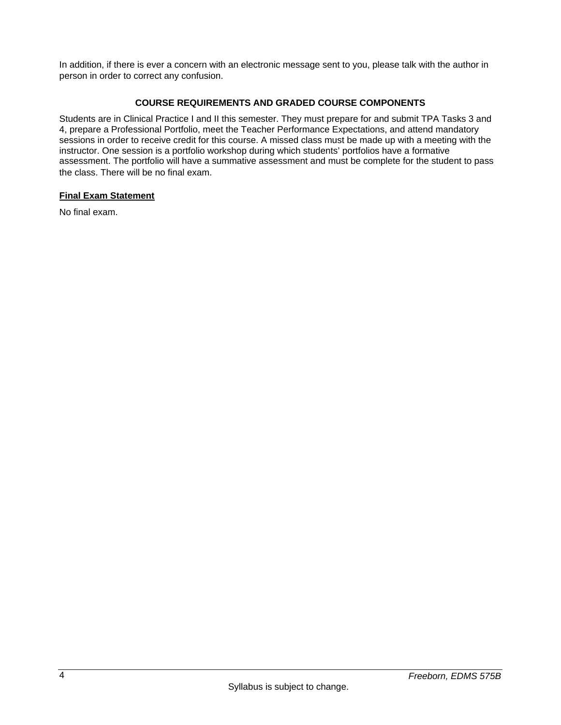In addition, if there is ever a concern with an electronic message sent to you, please talk with the author in person in order to correct any confusion.

# **COURSE REQUIREMENTS AND GRADED COURSE COMPONENTS**

Students are in Clinical Practice I and II this semester. They must prepare for and submit TPA Tasks 3 and 4, prepare a Professional Portfolio, meet the Teacher Performance Expectations, and attend mandatory sessions in order to receive credit for this course. A missed class must be made up with a meeting with the instructor. One session is a portfolio workshop during which students' portfolios have a formative assessment. The portfolio will have a summative assessment and must be complete for the student to pass the class. There will be no final exam.

# **Final Exam Statement**

No final exam.